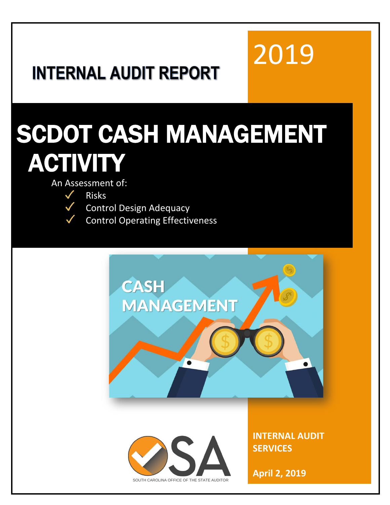# 2019

## **INTERNAL AUDIT REPORT**

# SCDOT CASH MANAGEMENT **ACTIVITY**

An Assessment of:



- Control Design Adequacy
- Control Operating Effectiveness

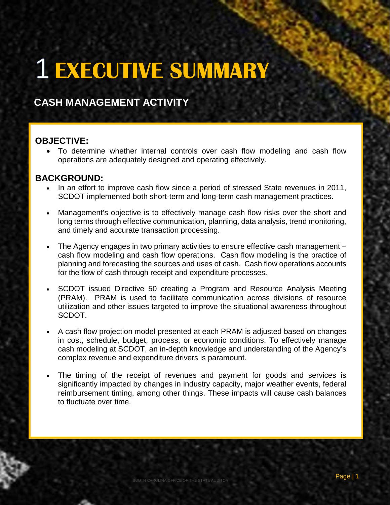# **EXECUTIVE SUMMARY**

#### **CASH MANAGEMENT ACTIVITY**

#### **OBJECTIVE:**

• To determine whether internal controls over cash flow modeling and cash flow operations are adequately designed and operating effectively.

#### **BACKGROUND:**

- In an effort to improve cash flow since a period of stressed State revenues in 2011, SCDOT implemented both short-term and long-term cash management practices.
- Management's objective is to effectively manage cash flow risks over the short and long terms through effective communication, planning, data analysis, trend monitoring, and timely and accurate transaction processing.
- The Agency engages in two primary activities to ensure effective cash management cash flow modeling and cash flow operations. Cash flow modeling is the practice of planning and forecasting the sources and uses of cash. Cash flow operations accounts for the flow of cash through receipt and expenditure processes.
- SCDOT issued Directive 50 creating a Program and Resource Analysis Meeting (PRAM). PRAM is used to facilitate communication across divisions of resource utilization and other issues targeted to improve the situational awareness throughout SCDOT.
- A cash flow projection model presented at each PRAM is adjusted based on changes in cost, schedule, budget, process, or economic conditions. To effectively manage cash modeling at SCDOT, an in-depth knowledge and understanding of the Agency's complex revenue and expenditure drivers is paramount.
- The timing of the receipt of revenues and payment for goods and services is significantly impacted by changes in industry capacity, major weather events, federal reimbursement timing, among other things. These impacts will cause cash balances to fluctuate over time.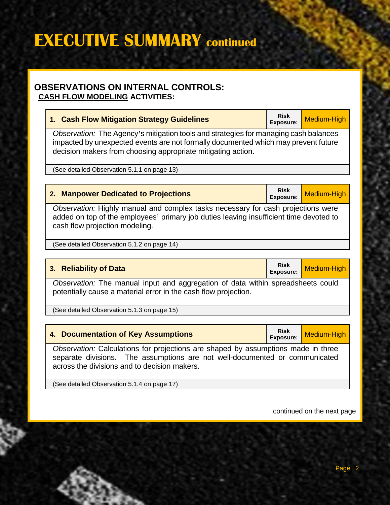## **EXECUTIVE SUMMARY continued**

#### **OBSERVATIONS ON INTERNAL CONTROLS: CASH FLOW MODELING ACTIVITIES:**

| 1. Cash Flow Mitigation Strategy Guidelines                                                                                                                                                                                                | <b>Risk</b><br><b>Exposure:</b> | <b>Medium-High</b> |  |
|--------------------------------------------------------------------------------------------------------------------------------------------------------------------------------------------------------------------------------------------|---------------------------------|--------------------|--|
| Observation: The Agency's mitigation tools and strategies for managing cash balances<br>impacted by unexpected events are not formally documented which may prevent future<br>decision makers from choosing appropriate mitigating action. |                                 |                    |  |
| (See detailed Observation 5.1.1 on page 13)                                                                                                                                                                                                |                                 |                    |  |
| <b>Risk</b><br>2. Manpower Dedicated to Projections<br>Medium-High<br><b>Exposure:</b>                                                                                                                                                     |                                 |                    |  |
| Observation: Highly manual and complex tasks necessary for cash projections were<br>added on top of the employees' primary job duties leaving insufficient time devoted to<br>cash flow projection modeling.                               |                                 |                    |  |
| (See detailed Observation 5.1.2 on page 14)                                                                                                                                                                                                |                                 |                    |  |
|                                                                                                                                                                                                                                            |                                 |                    |  |
| 3. Reliability of Data                                                                                                                                                                                                                     | <b>Risk</b><br><b>Exposure:</b> | <b>Medium-High</b> |  |
| Observation: The manual input and aggregation of data within spreadsheets could<br>potentially cause a material error in the cash flow projection.                                                                                         |                                 |                    |  |
| (See detailed Observation 5.1.3 on page 15)                                                                                                                                                                                                |                                 |                    |  |
|                                                                                                                                                                                                                                            |                                 |                    |  |
| 4. Documentation of Key Assumptions                                                                                                                                                                                                        | <b>Risk</b><br><b>Exposure:</b> | Medium-High        |  |
| Observation: Calculations for projections are shaped by assumptions made in three<br>separate divisions. The assumptions are not well-documented or communicated<br>across the divisions and to decision makers.                           |                                 |                    |  |

(See detailed Observation 5.1.4 on page 17)

continued on the next page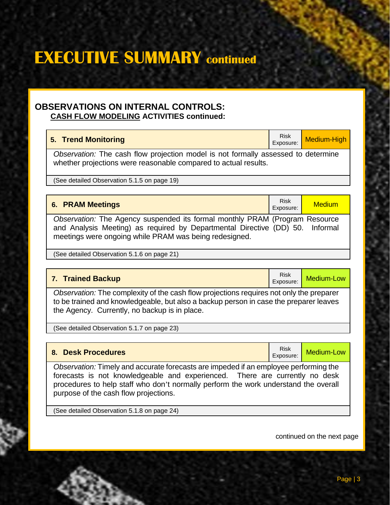continued on the next page

Page | 3

### **EXECUTIVE SUMMARY continued**

#### **OBSERVATIONS ON INTERNAL CONTROLS: CASH FLOW MODELING ACTIVITIES continued:**

| 5. Trend Monitoring                                                               | Risk<br>Exposure: | Medium-High |
|-----------------------------------------------------------------------------------|-------------------|-------------|
| Observation: The cash flow projection model is not formally assessed to determine |                   |             |

*Observation:* The cash flow projection model is not formally assessed to determine whether projections were reasonable compared to actual results.

(See detailed Observation 5.1.5 on page 19)

| Risk<br>Exposure:<br>6. PRAM Meetings                                         |  | <b>Medium</b> |
|-------------------------------------------------------------------------------|--|---------------|
| Observation: The Agency suspended its formal monthly PRAM (Program Resource   |  |               |
| and Analysis Meeting) as required by Departmental Directive (DD) 50. Informal |  |               |
| meetings were ongoing while PRAM was being redesigned.                        |  |               |

(See detailed Observation 5.1.6 on page 21)

#### **7. Trained Backup Risk Exposure: Risk Exposure:**

*Observation:* The complexity of the cash flow projections requires not only the preparer to be trained and knowledgeable, but also a backup person in case the preparer leaves the Agency. Currently, no backup is in place.

(See detailed Observation 5.1.7 on page 23)

purpose of the cash flow projections.

(See detailed Observation 5.1.8 on page 24)

**8. Desk Procedures** Risk and Section 2014 **Risk Exposure:** 

Medium-Low

*Observation:* Timely and accurate forecasts are impeded if an employee performing the

forecasts is not knowledgeable and experienced. There are currently no desk procedures to help staff who don't normally perform the work understand the overall

Medium-Low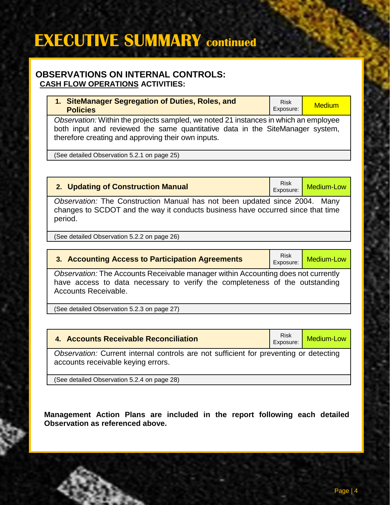### **EXECUTIVE SUMMARY continued**

#### **OBSERVATIONS ON INTERNAL CONTROLS: CASH FLOW OPERATIONS ACTIVITIES:**

| 1. SiteManager Segregation of Duties, Roles, and<br><b>Policies</b>                                                                                                                                                         | <b>Risk</b><br>Exposure: | <b>Medium</b> |
|-----------------------------------------------------------------------------------------------------------------------------------------------------------------------------------------------------------------------------|--------------------------|---------------|
| Observation: Within the projects sampled, we noted 21 instances in which an employee<br>both input and reviewed the same quantitative data in the SiteManager system,<br>therefore creating and approving their own inputs. |                          |               |

(See detailed Observation 5.2.1 on page 25)

#### **2. Updating of Construction Manual** Risk

*Observation:* The Construction Manual has not been updated since 2004. Many changes to SCDOT and the way it conducts business have occurred since that time period.

(See detailed Observation 5.2.2 on page 26)

#### **3. Accounting Access to Participation Agreements** Risk Risk Risk

Medium-Low

Medium-Low

*Observation:* The Accounts Receivable manager within Accounting does not currently have access to data necessary to verify the completeness of the outstanding Accounts Receivable.

(See detailed Observation 5.2.3 on page 27)

| 4. Accounts Receivable Reconciliation                                                                                       |  | Medium-Low |
|-----------------------------------------------------------------------------------------------------------------------------|--|------------|
| Observation: Current internal controls are not sufficient for preventing or detecting<br>accounts receivable keying errors. |  |            |

(See detailed Observation 5.2.4 on page 28)

**Management Action Plans are included in the report following each detailed Observation as referenced above.**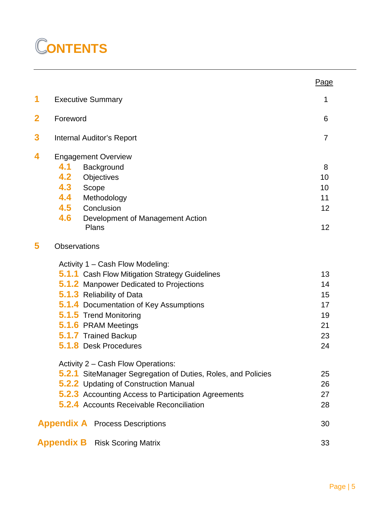### **ONTENTS**

|                         |                                                                     | Page           |
|-------------------------|---------------------------------------------------------------------|----------------|
| 1                       | <b>Executive Summary</b>                                            | 1              |
| $\overline{\mathbf{2}}$ | Foreword                                                            | 6              |
| 3                       | <b>Internal Auditor's Report</b>                                    | $\overline{7}$ |
| 4                       | <b>Engagement Overview</b>                                          |                |
|                         | 4.1<br>Background                                                   | 8              |
|                         | 4.2<br>Objectives                                                   | 10             |
|                         | 4.3<br>Scope                                                        | 10             |
|                         | 4.4<br>Methodology                                                  | 11             |
|                         | 4.5<br>Conclusion                                                   | 12             |
|                         | 4.6<br>Development of Management Action                             |                |
|                         | Plans                                                               | 12             |
| 5                       | <b>Observations</b>                                                 |                |
|                         | Activity 1 - Cash Flow Modeling:                                    |                |
|                         | <b>5.1.1</b> Cash Flow Mitigation Strategy Guidelines               | 13             |
|                         | <b>5.1.2</b> Manpower Dedicated to Projections                      | 14             |
|                         | <b>5.1.3</b> Reliability of Data                                    | 15             |
|                         | <b>5.1.4</b> Documentation of Key Assumptions                       | 17             |
|                         | <b>5.1.5</b> Trend Monitoring                                       | 19             |
|                         | 5.1.6 PRAM Meetings                                                 | 21             |
|                         | 5.1.7 Trained Backup                                                | 23             |
|                         | <b>5.1.8</b> Desk Procedures                                        | 24             |
|                         | Activity 2 - Cash Flow Operations:                                  |                |
|                         | <b>5.2.1</b> SiteManager Segregation of Duties, Roles, and Policies | 25             |
|                         | <b>5.2.2</b> Updating of Construction Manual                        | 26             |
|                         | <b>5.2.3</b> Accounting Access to Participation Agreements          | 27             |
|                         | <b>5.2.4</b> Accounts Receivable Reconciliation                     | 28             |
|                         | <b>Appendix A</b> Process Descriptions                              | 30             |
|                         | <b>Appendix B</b> Risk Scoring Matrix                               | 33             |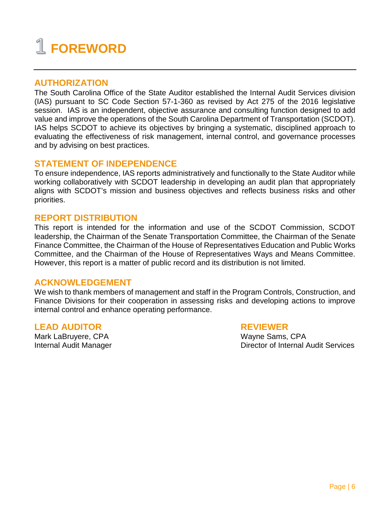### **FOREWORD**

#### **AUTHORIZATION**

The South Carolina Office of the State Auditor established the Internal Audit Services division (IAS) pursuant to SC Code Section 57-1-360 as revised by Act 275 of the 2016 legislative session. IAS is an independent, objective assurance and consulting function designed to add value and improve the operations of the South Carolina Department of Transportation (SCDOT). IAS helps SCDOT to achieve its objectives by bringing a systematic, disciplined approach to evaluating the effectiveness of risk management, internal control, and governance processes and by advising on best practices.

#### **STATEMENT OF INDEPENDENCE**

To ensure independence, IAS reports administratively and functionally to the State Auditor while working collaboratively with SCDOT leadership in developing an audit plan that appropriately aligns with SCDOT's mission and business objectives and reflects business risks and other priorities.

#### **REPORT DISTRIBUTION**

This report is intended for the information and use of the SCDOT Commission, SCDOT leadership, the Chairman of the Senate Transportation Committee, the Chairman of the Senate Finance Committee, the Chairman of the House of Representatives Education and Public Works Committee, and the Chairman of the House of Representatives Ways and Means Committee. However, this report is a matter of public record and its distribution is not limited.

#### **ACKNOWLEDGEMENT**

We wish to thank members of management and staff in the Program Controls, Construction, and Finance Divisions for their cooperation in assessing risks and developing actions to improve internal control and enhance operating performance.

#### **LEAD AUDITOR REVIEWER**

Mark LaBruyere, CPA Wayne Sams, CPA Mark LaBruyere, CPA Wayne Sams, CPA Mark LaBruyere, CPA

Director of Internal Audit Services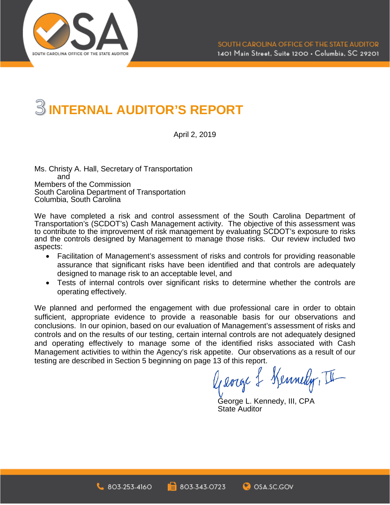

### **INTERNAL AUDITOR'S REPORT**

April 2, 2019

Ms. Christy A. Hall, Secretary of Transportation and Members of the Commission South Carolina Department of Transportation Columbia, South Carolina

We have completed a risk and control assessment of the South Carolina Department of Transportation's (SCDOT's) Cash Management activity. The objective of this assessment was to contribute to the improvement of risk management by evaluating SCDOT's exposure to risks and the controls designed by Management to manage those risks. Our review included two aspects:

- Facilitation of Management's assessment of risks and controls for providing reasonable assurance that significant risks have been identified and that controls are adequately designed to manage risk to an acceptable level, and
- Tests of internal controls over significant risks to determine whether the controls are operating effectively.

We planned and performed the engagement with due professional care in order to obtain sufficient, appropriate evidence to provide a reasonable basis for our observations and conclusions. In our opinion, based on our evaluation of Management's assessment of risks and controls and on the results of our testing, certain internal controls are not adequately designed and operating effectively to manage some of the identified risks associated with Cash Management activities to within the Agency's risk appetite. Our observations as a result of our testing are described in Section 5 beginning on page 13 of this report.

George & Kennedy, II

George L. Kennedy, III, CPA State Auditor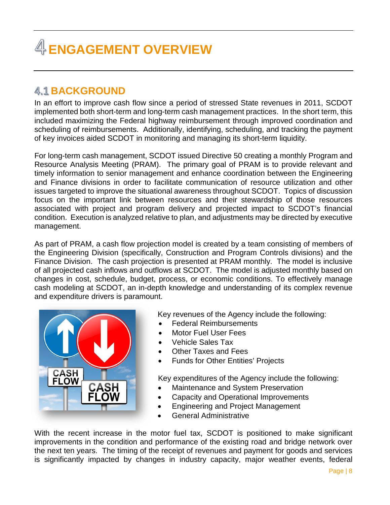### **ENGAGEMENT OVERVIEW**

#### **4.1 BACKGROUND**

In an effort to improve cash flow since a period of stressed State revenues in 2011, SCDOT implemented both short-term and long-term cash management practices. In the short term, this included maximizing the Federal highway reimbursement through improved coordination and scheduling of reimbursements. Additionally, identifying, scheduling, and tracking the payment of key invoices aided SCDOT in monitoring and managing its short-term liquidity.

For long-term cash management, SCDOT issued Directive 50 creating a monthly Program and Resource Analysis Meeting (PRAM). The primary goal of PRAM is to provide relevant and timely information to senior management and enhance coordination between the Engineering and Finance divisions in order to facilitate communication of resource utilization and other issues targeted to improve the situational awareness throughout SCDOT. Topics of discussion focus on the important link between resources and their stewardship of those resources associated with project and program delivery and projected impact to SCDOT's financial condition. Execution is analyzed relative to plan, and adjustments may be directed by executive management.

As part of PRAM, a cash flow projection model is created by a team consisting of members of the Engineering Division (specifically, Construction and Program Controls divisions) and the Finance Division. The cash projection is presented at PRAM monthly. The model is inclusive of all projected cash inflows and outflows at SCDOT. The model is adjusted monthly based on changes in cost, schedule, budget, process, or economic conditions. To effectively manage cash modeling at SCDOT, an in-depth knowledge and understanding of its complex revenue and expenditure drivers is paramount.



Key revenues of the Agency include the following:

- Federal Reimbursements
- Motor Fuel User Fees
- Vehicle Sales Tax
- Other Taxes and Fees
- Funds for Other Entities' Projects

Key expenditures of the Agency include the following:

- Maintenance and System Preservation
- Capacity and Operational Improvements
- Engineering and Project Management
- General Administrative

With the recent increase in the motor fuel tax, SCDOT is positioned to make significant improvements in the condition and performance of the existing road and bridge network over the next ten years. The timing of the receipt of revenues and payment for goods and services is significantly impacted by changes in industry capacity, major weather events, federal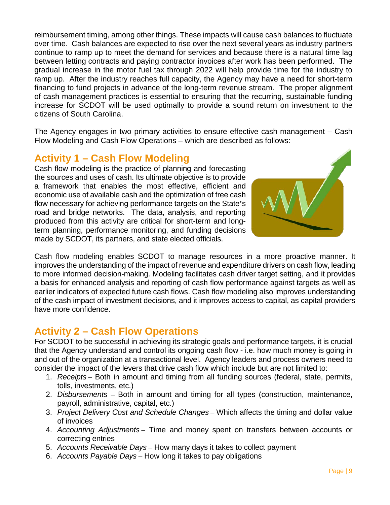reimbursement timing, among other things. These impacts will cause cash balances to fluctuate over time. Cash balances are expected to rise over the next several years as industry partners continue to ramp up to meet the demand for services and because there is a natural time lag between letting contracts and paying contractor invoices after work has been performed. The gradual increase in the motor fuel tax through 2022 will help provide time for the industry to ramp up. After the industry reaches full capacity, the Agency may have a need for short-term financing to fund projects in advance of the long-term revenue stream. The proper alignment of cash management practices is essential to ensuring that the recurring, sustainable funding increase for SCDOT will be used optimally to provide a sound return on investment to the citizens of South Carolina.

The Agency engages in two primary activities to ensure effective cash management – Cash Flow Modeling and Cash Flow Operations – which are described as follows:

#### **Activity 1 – Cash Flow Modeling**

Cash flow modeling is the practice of planning and forecasting the sources and uses of cash. Its ultimate objective is to provide a framework that enables the most effective, efficient and economic use of available cash and the optimization of free cash flow necessary for achieving performance targets on the State's road and bridge networks. The data, analysis, and reporting produced from this activity are critical for short-term and longterm planning, performance monitoring, and funding decisions made by SCDOT, its partners, and state elected officials.



Cash flow modeling enables SCDOT to manage resources in a more proactive manner. It improves the understanding of the impact of revenue and expenditure drivers on cash flow, leading to more informed decision-making. Modeling facilitates cash driver target setting, and it provides a basis for enhanced analysis and reporting of cash flow performance against targets as well as earlier indicators of expected future cash flows. Cash flow modeling also improves understanding of the cash impact of investment decisions, and it improves access to capital, as capital providers have more confidence.

#### **Activity 2 – Cash Flow Operations**

For SCDOT to be successful in achieving its strategic goals and performance targets, it is crucial that the Agency understand and control its ongoing cash flow - i.e. how much money is going in and out of the organization at a transactional level. Agency leaders and process owners need to consider the impact of the levers that drive cash flow which include but are not limited to:

- 1. *Receipts* Both in amount and timing from all funding sources (federal, state, permits, tolls, investments, etc.)
- 2. *Disbursements* Both in amount and timing for all types (construction, maintenance, payroll, administrative, capital, etc.)
- 3. *Project Delivery Cost and Schedule Changes* Which affects the timing and dollar value of invoices
- 4. *Accounting Adjustments* Time and money spent on transfers between accounts or correcting entries
- 5. *Accounts Receivable Days* How many days it takes to collect payment
- 6. *Accounts Payable Days* How long it takes to pay obligations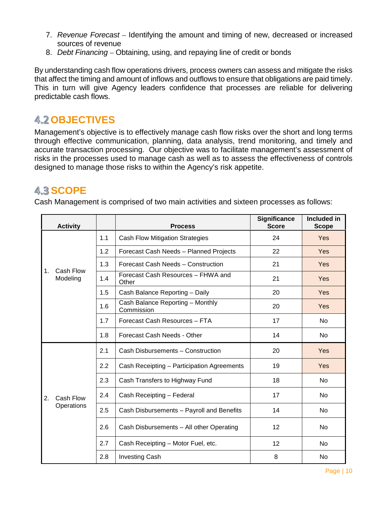- 7. *Revenue Forecast* Identifying the amount and timing of new, decreased or increased sources of revenue
- 8. *Debt Financing*  Obtaining, using, and repaying line of credit or bonds

By understanding cash flow operations drivers, process owners can assess and mitigate the risks that affect the timing and amount of inflows and outflows to ensure that obligations are paid timely. This in turn will give Agency leaders confidence that processes are reliable for delivering predictable cash flows.

#### **4.2 OBJECTIVES**

Management's objective is to effectively manage cash flow risks over the short and long terms through effective communication, planning, data analysis, trend monitoring, and timely and accurate transaction processing. Our objective was to facilitate management's assessment of risks in the processes used to manage cash as well as to assess the effectiveness of controls designed to manage those risks to within the Agency's risk appetite.

#### **4.3 SCOPE**

Cash Management is comprised of two main activities and sixteen processes as follows:

| <b>Activity</b><br><b>Process</b> |     | <b>Significance</b><br><b>Score</b>            | Included in<br><b>Scope</b> |     |
|-----------------------------------|-----|------------------------------------------------|-----------------------------|-----|
|                                   | 1.1 | <b>Cash Flow Mitigation Strategies</b>         | 24                          | Yes |
|                                   | 1.2 | Forecast Cash Needs - Planned Projects         | 22                          | Yes |
|                                   | 1.3 | Forecast Cash Needs - Construction             | 21                          | Yes |
| Cash Flow<br>1.<br>Modeling       | 1.4 | Forecast Cash Resources - FHWA and<br>Other    | 21                          | Yes |
|                                   | 1.5 | Cash Balance Reporting - Daily                 | 20                          | Yes |
|                                   | 1.6 | Cash Balance Reporting - Monthly<br>Commission | 20                          | Yes |
|                                   | 1.7 | Forecast Cash Resources - FTA                  | 17                          | No  |
|                                   | 1.8 | Forecast Cash Needs - Other                    | 14                          | No  |
|                                   | 2.1 | Cash Disbursements - Construction              | 20                          | Yes |
|                                   | 2.2 | Cash Receipting - Participation Agreements     | 19                          | Yes |
|                                   | 2.3 | Cash Transfers to Highway Fund                 | 18                          | No  |
| 2.<br>Cash Flow                   | 2.4 | Cash Receipting - Federal                      | 17                          | No  |
| Operations                        | 2.5 | Cash Disbursements - Payroll and Benefits      | 14                          | No  |
|                                   | 2.6 | Cash Disbursements - All other Operating       | 12                          | No  |
|                                   | 2.7 | Cash Receipting - Motor Fuel, etc.             | 12                          | No  |
|                                   | 2.8 | <b>Investing Cash</b>                          | 8                           | No  |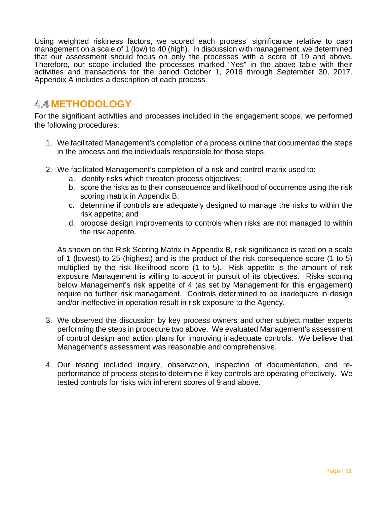Using weighted riskiness factors, we scored each process' significance relative to cash management on a scale of 1 (low) to 40 (high). In discussion with management, we determined that our assessment should focus on only the processes with a score of 19 and above. Therefore, our scope included the processes marked "Yes" in the above table with their activities and transactions for the period October 1, 2016 through September 30, 2017. Appendix A includes a description of each process.

#### **METHODOLOGY**

For the significant activities and processes included in the engagement scope, we performed the following procedures:

- 1. We facilitated Management's completion of a process outline that documented the steps in the process and the individuals responsible for those steps.
- 2. We facilitated Management's completion of a risk and control matrix used to:
	- a. identify risks which threaten process objectives;
	- b. score the risks as to their consequence and likelihood of occurrence using the risk scoring matrix in Appendix B;
	- c. determine if controls are adequately designed to manage the risks to within the risk appetite; and
	- d. propose design improvements to controls when risks are not managed to within the risk appetite.

As shown on the Risk Scoring Matrix in Appendix B, risk significance is rated on a scale of 1 (lowest) to 25 (highest) and is the product of the risk consequence score (1 to 5) multiplied by the risk likelihood score (1 to 5). Risk appetite is the amount of risk exposure Management is willing to accept in pursuit of its objectives. Risks scoring below Management's risk appetite of 4 (as set by Management for this engagement) require no further risk management. Controls determined to be inadequate in design and/or ineffective in operation result in risk exposure to the Agency.

- 3. We observed the discussion by key process owners and other subject matter experts performing the steps in procedure two above. We evaluated Management's assessment of control design and action plans for improving inadequate controls. We believe that Management's assessment was reasonable and comprehensive.
- 4. Our testing included inquiry, observation, inspection of documentation, and reperformance of process steps to determine if key controls are operating effectively. We tested controls for risks with inherent scores of 9 and above.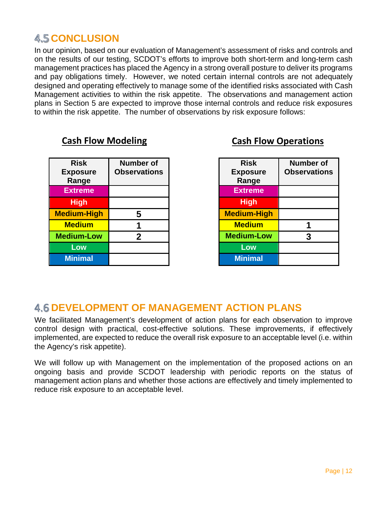#### **4.5 CONCLUSION**

In our opinion, based on our evaluation of Management's assessment of risks and controls and on the results of our testing, SCDOT's efforts to improve both short-term and long-term cash management practices has placed the Agency in a strong overall posture to deliver its programs and pay obligations timely. However, we noted certain internal controls are not adequately designed and operating effectively to manage some of the identified risks associated with Cash Management activities to within the risk appetite. The observations and management action plans in Section 5 are expected to improve those internal controls and reduce risk exposures to within the risk appetite. The number of observations by risk exposure follows:

| <b>Risk</b><br><b>Exposure</b><br>Range | <b>Number of</b><br><b>Observations</b> |
|-----------------------------------------|-----------------------------------------|
| <b>Extreme</b>                          |                                         |
| <b>High</b>                             |                                         |
| <b>Medium-High</b>                      | 5                                       |
| <b>Medium</b>                           |                                         |
| <b>Medium-Low</b>                       | 2                                       |
| Low                                     |                                         |
| <b>Minimal</b>                          |                                         |

#### **Cash Flow Modeling Cash Flow Operations**

| <b>Risk</b>        | <b>Number of</b>    |
|--------------------|---------------------|
| <b>Exposure</b>    | <b>Observations</b> |
| Range              |                     |
| <b>Extreme</b>     |                     |
| <b>High</b>        |                     |
| <b>Medium-High</b> |                     |
| <b>Medium</b>      |                     |
| <b>Medium-Low</b>  | 3                   |
| Low                |                     |
| <b>Minimal</b>     |                     |

#### **DEVELOPMENT OF MANAGEMENT ACTION PLANS**

We facilitated Management's development of action plans for each observation to improve control design with practical, cost-effective solutions. These improvements, if effectively implemented, are expected to reduce the overall risk exposure to an acceptable level (i.e. within the Agency's risk appetite).

We will follow up with Management on the implementation of the proposed actions on an ongoing basis and provide SCDOT leadership with periodic reports on the status of management action plans and whether those actions are effectively and timely implemented to reduce risk exposure to an acceptable level.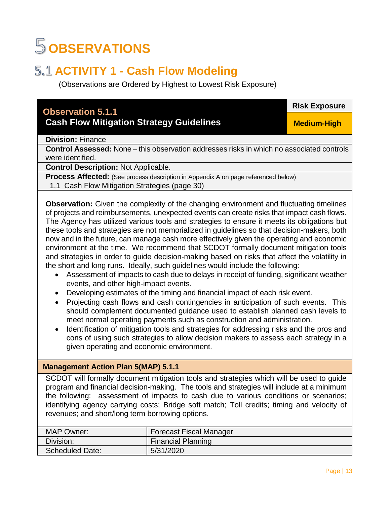### **OBSERVATIONS**

#### **5.1 ACTIVITY 1 - Cash Flow Modeling**

(Observations are Ordered by Highest to Lowest Risk Exposure)

#### **Observation 5.1.1**

#### **Cash Flow Mitigation Strategy Guidelines**

**Risk Exposure**

**Medium-High**

**Division:** Finance

**Control Assessed:** None – this observation addresses risks in which no associated controls were identified.

**Control Description:** Not Applicable.

**Process Affected:** (See process description in Appendix A on page referenced below)

1.1 Cash Flow Mitigation Strategies (page 30)

**Observation:** Given the complexity of the changing environment and fluctuating timelines of projects and reimbursements, unexpected events can create risks that impact cash flows. The Agency has utilized various tools and strategies to ensure it meets its obligations but these tools and strategies are not memorialized in guidelines so that decision-makers, both now and in the future, can manage cash more effectively given the operating and economic environment at the time. We recommend that SCDOT formally document mitigation tools and strategies in order to guide decision-making based on risks that affect the volatility in the short and long runs. Ideally, such guidelines would include the following:

- Assessment of impacts to cash due to delays in receipt of funding, significant weather events, and other high-impact events.
- Developing estimates of the timing and financial impact of each risk event.
- Projecting cash flows and cash contingencies in anticipation of such events. This should complement documented guidance used to establish planned cash levels to meet normal operating payments such as construction and administration.
- Identification of mitigation tools and strategies for addressing risks and the pros and cons of using such strategies to allow decision makers to assess each strategy in a given operating and economic environment.

#### **Management Action Plan 5(MAP) 5.1.1**

SCDOT will formally document mitigation tools and strategies which will be used to guide program and financial decision-making. The tools and strategies will include at a minimum the following: assessment of impacts to cash due to various conditions or scenarios; identifying agency carrying costs; Bridge soft match; Toll credits; timing and velocity of revenues; and short/long term borrowing options.

| <b>MAP Owner:</b>      | <b>Forecast Fiscal Manager</b> |
|------------------------|--------------------------------|
| Division:              | <b>Financial Planning</b>      |
| <b>Scheduled Date:</b> | 5/31/2020                      |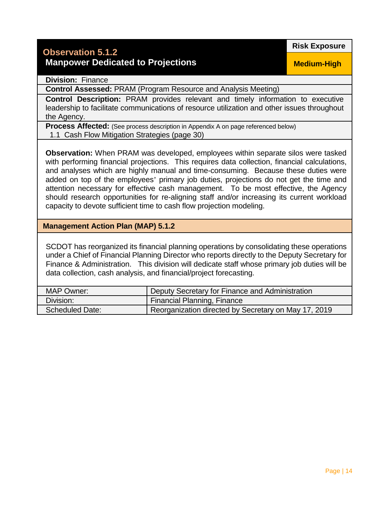#### **Observation 5.1.2 Manpower Dedicated to Projections**

**Risk Exposure**

**Division:** Finance

**Control Assessed:** PRAM (Program Resource and Analysis Meeting)

**Control Description:** PRAM provides relevant and timely information to executive leadership to facilitate communications of resource utilization and other issues throughout the Agency.

**Process Affected:** (See process description in Appendix A on page referenced below) 1.1 Cash Flow Mitigation Strategies (page 30)

**Observation:** When PRAM was developed, employees within separate silos were tasked with performing financial projections. This requires data collection, financial calculations, and analyses which are highly manual and time-consuming. Because these duties were added on top of the employees' primary job duties, projections do not get the time and attention necessary for effective cash management. To be most effective, the Agency should research opportunities for re-aligning staff and/or increasing its current workload capacity to devote sufficient time to cash flow projection modeling.

**Management Action Plan (MAP) 5.1.2** 

SCDOT has reorganized its financial planning operations by consolidating these operations under a Chief of Financial Planning Director who reports directly to the Deputy Secretary for Finance & Administration. This division will dedicate staff whose primary job duties will be data collection, cash analysis, and financial/project forecasting.

| MAP Owner:             | Deputy Secretary for Finance and Administration      |
|------------------------|------------------------------------------------------|
| Division:              | <b>Financial Planning, Finance</b>                   |
| <b>Scheduled Date:</b> | Reorganization directed by Secretary on May 17, 2019 |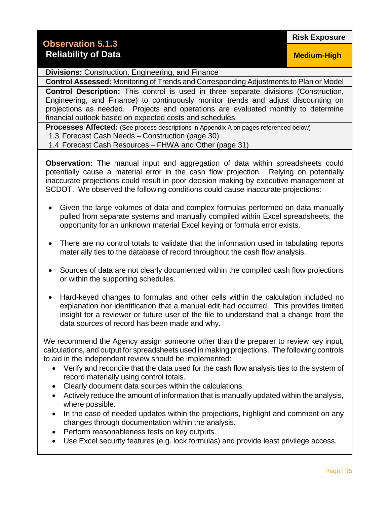#### **Observation 5.1.3 Reliability of Data**

**Risk Exposure**

**Medium-High**

**Divisions:** Construction, Engineering, and Finance

**Control Assessed:** Monitoring of Trends and Corresponding Adjustments to Plan or Model

**Control Description:** This control is used in three separate divisions (Construction, Engineering, and Finance) to continuously monitor trends and adjust discounting on projections as needed. Projects and operations are evaluated monthly to determine financial outlook based on expected costs and schedules.

**Processes Affected:** (See process descriptions in Appendix A on pages referenced below) 1.3 Forecast Cash Needs – Construction (page 30)

1.4 Forecast Cash Resources – FHWA and Other (page 31)

**Observation:** The manual input and aggregation of data within spreadsheets could potentially cause a material error in the cash flow projection. Relying on potentially inaccurate projections could result in poor decision making by executive management at SCDOT. We observed the following conditions could cause inaccurate projections:

- Given the large volumes of data and complex formulas performed on data manually pulled from separate systems and manually compiled within Excel spreadsheets, the opportunity for an unknown material Excel keying or formula error exists.
- There are no control totals to validate that the information used in tabulating reports materially ties to the database of record throughout the cash flow analysis.
- Sources of data are not clearly documented within the compiled cash flow projections or within the supporting schedules.
- Hard-keyed changes to formulas and other cells within the calculation included no explanation nor identification that a manual edit had occurred. This provides limited insight for a reviewer or future user of the file to understand that a change from the data sources of record has been made and why.

We recommend the Agency assign someone other than the preparer to review key input, calculations, and output for spreadsheets used in making projections. The following controls to aid in the independent review should be implemented:

- Verify and reconcile that the data used for the cash flow analysis ties to the system of record materially using control totals.
- Clearly document data sources within the calculations.
- Actively reduce the amount of information that is manually updated within the analysis, where possible.
- In the case of needed updates within the projections, highlight and comment on any changes through documentation within the analysis.
- Perform reasonableness tests on key outputs.
- Use Excel security features (e.g. lock formulas) and provide least privilege access.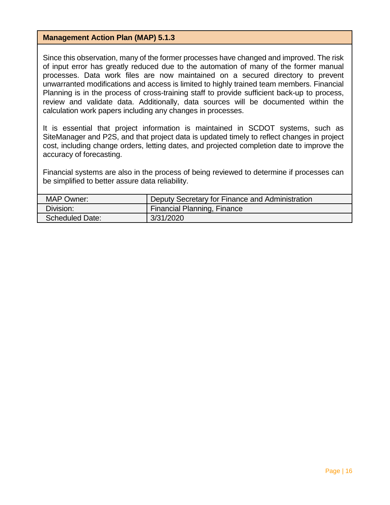#### **Management Action Plan (MAP) 5.1.3**

Since this observation, many of the former processes have changed and improved. The risk of input error has greatly reduced due to the automation of many of the former manual processes. Data work files are now maintained on a secured directory to prevent unwarranted modifications and access is limited to highly trained team members. Financial Planning is in the process of cross-training staff to provide sufficient back-up to process, review and validate data. Additionally, data sources will be documented within the calculation work papers including any changes in processes.

It is essential that project information is maintained in SCDOT systems, such as SiteManager and P2S, and that project data is updated timely to reflect changes in project cost, including change orders, letting dates, and projected completion date to improve the accuracy of forecasting.

Financial systems are also in the process of being reviewed to determine if processes can be simplified to better assure data reliability.

| <b>MAP Owner:</b>      | Deputy Secretary for Finance and Administration |
|------------------------|-------------------------------------------------|
| Division:              | Financial Planning, Finance                     |
| <b>Scheduled Date:</b> | 3/31/2020                                       |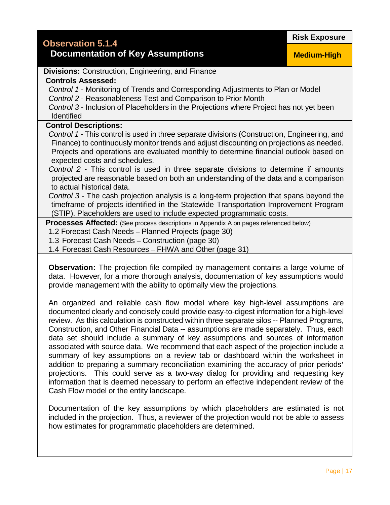#### **Documentation of Key Assumptions**

**Medium-High**

#### **Divisions:** Construction, Engineering, and Finance

#### **Controls Assessed:**

*Control 1* - Monitoring of Trends and Corresponding Adjustments to Plan or Model *Control 2* - Reasonableness Test and Comparison to Prior Month

*Control 3* - Inclusion of Placeholders in the Projections where Project has not yet been Identified

#### **Control Descriptions:**

*Control 1* - This control is used in three separate divisions (Construction, Engineering, and Finance) to continuously monitor trends and adjust discounting on projections as needed. Projects and operations are evaluated monthly to determine financial outlook based on expected costs and schedules.

*Control 2* - This control is used in three separate divisions to determine if amounts projected are reasonable based on both an understanding of the data and a comparison to actual historical data.

*Control 3* - The cash projection analysis is a long-term projection that spans beyond the timeframe of projects identified in the Statewide Transportation Improvement Program (STIP). Placeholders are used to include expected programmatic costs.

**Processes Affected:** (See process descriptions in Appendix A on pages referenced below)

1.2 Forecast Cash Needs – Planned Projects (page 30)

1.3 Forecast Cash Needs – Construction (page 30)

1.4 Forecast Cash Resources – FHWA and Other (page 31)

**Observation:** The projection file compiled by management contains a large volume of data. However, for a more thorough analysis, documentation of key assumptions would provide management with the ability to optimally view the projections.

An organized and reliable cash flow model where key high-level assumptions are documented clearly and concisely could provide easy-to-digest information for a high-level review. As this calculation is constructed within three separate silos -- Planned Programs, Construction, and Other Financial Data -- assumptions are made separately. Thus, each data set should include a summary of key assumptions and sources of information associated with source data. We recommend that each aspect of the projection include a summary of key assumptions on a review tab or dashboard within the worksheet in addition to preparing a summary reconciliation examining the accuracy of prior periods' projections. This could serve as a two-way dialog for providing and requesting key information that is deemed necessary to perform an effective independent review of the Cash Flow model or the entity landscape.

Documentation of the key assumptions by which placeholders are estimated is not included in the projection. Thus, a reviewer of the projection would not be able to assess how estimates for programmatic placeholders are determined.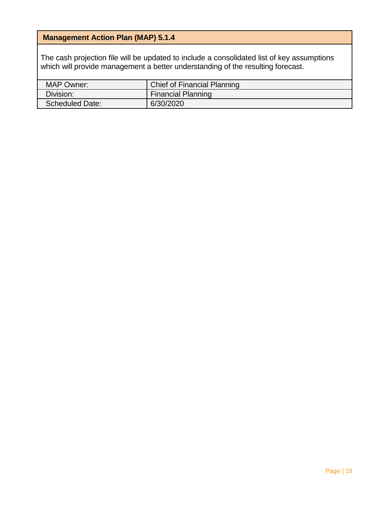#### **Management Action Plan (MAP) 5.1.4**

The cash projection file will be updated to include a consolidated list of key assumptions which will provide management a better understanding of the resulting forecast.

| <b>MAP Owner:</b>      | <b>Chief of Financial Planning</b> |  |  |
|------------------------|------------------------------------|--|--|
| Division:              | <b>Financial Planning</b>          |  |  |
| <b>Scheduled Date:</b> | 6/30/2020                          |  |  |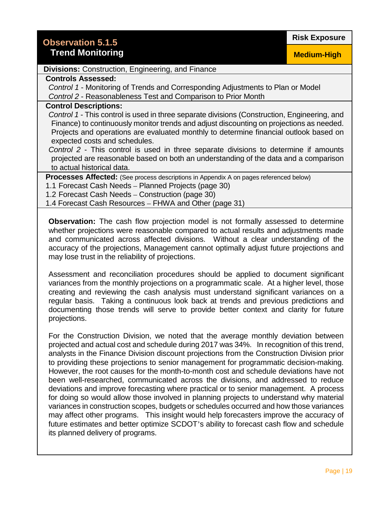Page | 19

#### **Risk Exposure**

#### **Divisions:** Construction, Engineering, and Finance

#### **Controls Assessed:**

*Control 1* - Monitoring of Trends and Corresponding Adjustments to Plan or Model *Control 2* - Reasonableness Test and Comparison to Prior Month

#### **Control Descriptions:**

*Control 1* - This control is used in three separate divisions (Construction, Engineering, and Finance) to continuously monitor trends and adjust discounting on projections as needed. Projects and operations are evaluated monthly to determine financial outlook based on expected costs and schedules.

*Control 2* - This control is used in three separate divisions to determine if amounts projected are reasonable based on both an understanding of the data and a comparison to actual historical data.

**Processes Affected:** (See process descriptions in Appendix A on pages referenced below)

1.1 Forecast Cash Needs – Planned Projects (page 30)

1.2 Forecast Cash Needs – Construction (page 30)

1.4 Forecast Cash Resources – FHWA and Other (page 31)

**Observation:** The cash flow projection model is not formally assessed to determine whether projections were reasonable compared to actual results and adjustments made and communicated across affected divisions. Without a clear understanding of the accuracy of the projections, Management cannot optimally adjust future projections and may lose trust in the reliability of projections.

Assessment and reconciliation procedures should be applied to document significant variances from the monthly projections on a programmatic scale. At a higher level, those creating and reviewing the cash analysis must understand significant variances on a regular basis. Taking a continuous look back at trends and previous predictions and documenting those trends will serve to provide better context and clarity for future projections.

For the Construction Division, we noted that the average monthly deviation between projected and actual cost and schedule during 2017 was 34%. In recognition of this trend, analysts in the Finance Division discount projections from the Construction Division prior to providing these projections to senior management for programmatic decision-making. However, the root causes for the month-to-month cost and schedule deviations have not been well-researched, communicated across the divisions, and addressed to reduce deviations and improve forecasting where practical or to senior management. A process for doing so would allow those involved in planning projects to understand why material variances in construction scopes, budgets or schedules occurred and how those variances may affect other programs. This insight would help forecasters improve the accuracy of future estimates and better optimize SCDOT's ability to forecast cash flow and schedule its planned delivery of programs.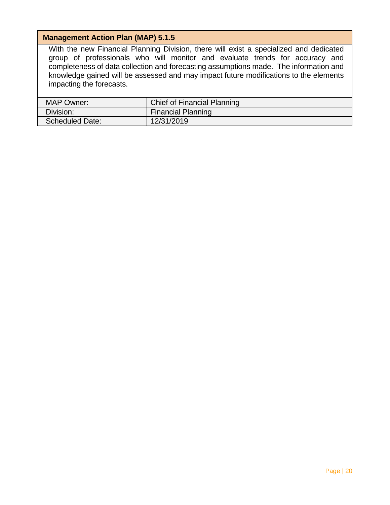#### **Management Action Plan (MAP) 5.1.5**

With the new Financial Planning Division, there will exist a specialized and dedicated group of professionals who will monitor and evaluate trends for accuracy and completeness of data collection and forecasting assumptions made. The information and knowledge gained will be assessed and may impact future modifications to the elements impacting the forecasts.

| MAP Owner:             | Chief of Financial Planning |  |  |
|------------------------|-----------------------------|--|--|
| Division:              | <b>Financial Planning</b>   |  |  |
| <b>Scheduled Date:</b> | 12/31/2019                  |  |  |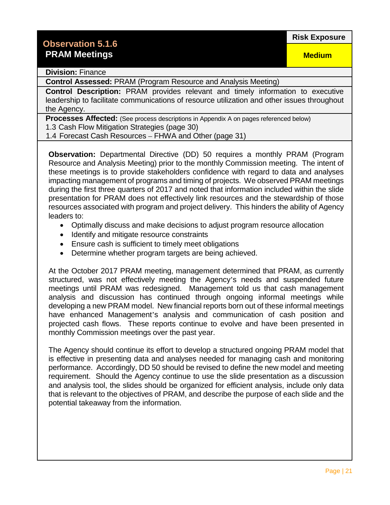**Medium**

#### **Division:** Finance

**Control Assessed:** PRAM (Program Resource and Analysis Meeting)

**Control Description:** PRAM provides relevant and timely information to executive leadership to facilitate communications of resource utilization and other issues throughout the Agency.

**Processes Affected:** (See process descriptions in Appendix A on pages referenced below)

1.3 Cash Flow Mitigation Strategies (page 30)

1.4 Forecast Cash Resources – FHWA and Other (page 31)

**Observation:** Departmental Directive (DD) 50 requires a monthly PRAM (Program Resource and Analysis Meeting) prior to the monthly Commission meeting. The intent of these meetings is to provide stakeholders confidence with regard to data and analyses impacting management of programs and timing of projects. We observed PRAM meetings during the first three quarters of 2017 and noted that information included within the slide presentation for PRAM does not effectively link resources and the stewardship of those resources associated with program and project delivery. This hinders the ability of Agency leaders to:

- Optimally discuss and make decisions to adjust program resource allocation
- Identify and mitigate resource constraints
- Ensure cash is sufficient to timely meet obligations
- Determine whether program targets are being achieved.

At the October 2017 PRAM meeting, management determined that PRAM, as currently structured, was not effectively meeting the Agency's needs and suspended future meetings until PRAM was redesigned. Management told us that cash management analysis and discussion has continued through ongoing informal meetings while developing a new PRAM model. New financial reports born out of these informal meetings have enhanced Management's analysis and communication of cash position and projected cash flows. These reports continue to evolve and have been presented in monthly Commission meetings over the past year.

The Agency should continue its effort to develop a structured ongoing PRAM model that is effective in presenting data and analyses needed for managing cash and monitoring performance. Accordingly, DD 50 should be revised to define the new model and meeting requirement. Should the Agency continue to use the slide presentation as a discussion and analysis tool, the slides should be organized for efficient analysis, include only data that is relevant to the objectives of PRAM, and describe the purpose of each slide and the potential takeaway from the information.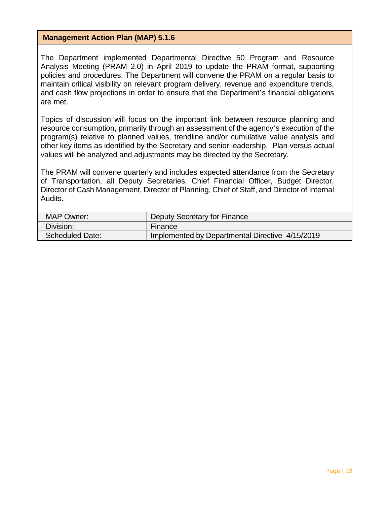#### **Management Action Plan (MAP) 5.1.6**

The Department implemented Departmental Directive 50 Program and Resource Analysis Meeting (PRAM 2.0) in April 2019 to update the PRAM format, supporting policies and procedures. The Department will convene the PRAM on a regular basis to maintain critical visibility on relevant program delivery, revenue and expenditure trends, and cash flow projections in order to ensure that the Department's financial obligations are met.

Topics of discussion will focus on the important link between resource planning and resource consumption, primarily through an assessment of the agency's execution of the program(s) relative to planned values, trendline and/or cumulative value analysis and other key items as identified by the Secretary and senior leadership. Plan versus actual values will be analyzed and adjustments may be directed by the Secretary.

The PRAM will convene quarterly and includes expected attendance from the Secretary of Transportation, all Deputy Secretaries, Chief Financial Officer, Budget Director, Director of Cash Management, Director of Planning, Chief of Staff, and Director of Internal Audits.

| <b>MAP Owner:</b>      | Deputy Secretary for Finance                    |  |  |
|------------------------|-------------------------------------------------|--|--|
| Division:              | Finance                                         |  |  |
| <b>Scheduled Date:</b> | Implemented by Departmental Directive 4/15/2019 |  |  |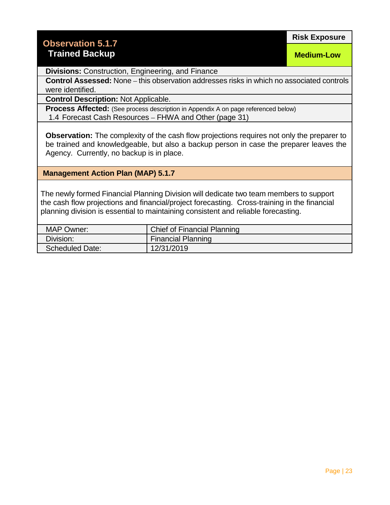#### **Observation 5.1.7 Trained Backup**

**Medium-Low**

**Divisions:** Construction, Engineering, and Finance

**Control Assessed:** None – this observation addresses risks in which no associated controls were identified.

**Control Description:** Not Applicable.

**Process Affected:** (See process description in Appendix A on page referenced below) 1.4 Forecast Cash Resources – FHWA and Other (page 31)

**Observation:** The complexity of the cash flow projections requires not only the preparer to be trained and knowledgeable, but also a backup person in case the preparer leaves the Agency. Currently, no backup is in place.

**Management Action Plan (MAP) 5.1.7** 

The newly formed Financial Planning Division will dedicate two team members to support the cash flow projections and financial/project forecasting. Cross-training in the financial planning division is essential to maintaining consistent and reliable forecasting.

| <b>MAP Owner:</b>      | Chief of Financial Planning |  |  |
|------------------------|-----------------------------|--|--|
| Division:              | <b>Financial Planning</b>   |  |  |
| <b>Scheduled Date:</b> | 12/31/2019                  |  |  |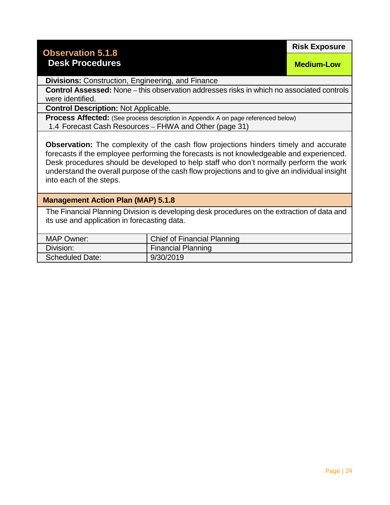#### **Observation 5.1.8**

#### **Desk Procedures**

**Risk Exposure**

**Medium-Low**

**Divisions:** Construction, Engineering, and Finance

**Control Assessed:** None – this observation addresses risks in which no associated controls were identified.

**Control Description:** Not Applicable.

**Process Affected:** (See process description in Appendix A on page referenced below) 1.4 Forecast Cash Resources – FHWA and Other (page 31)

**Observation:** The complexity of the cash flow projections hinders timely and accurate forecasts if the employee performing the forecasts is not knowledgeable and experienced. Desk procedures should be developed to help staff who don't normally perform the work understand the overall purpose of the cash flow projections and to give an individual insight into each of the steps.

#### **Management Action Plan (MAP) 5.1.8**

The Financial Planning Division is developing desk procedures on the extraction of data and its use and application in forecasting data.

| <b>MAP Owner:</b>      | Chief of Financial Planning |  |  |
|------------------------|-----------------------------|--|--|
| Division:              | <b>Financial Planning</b>   |  |  |
| <b>Scheduled Date:</b> | 9/30/2019                   |  |  |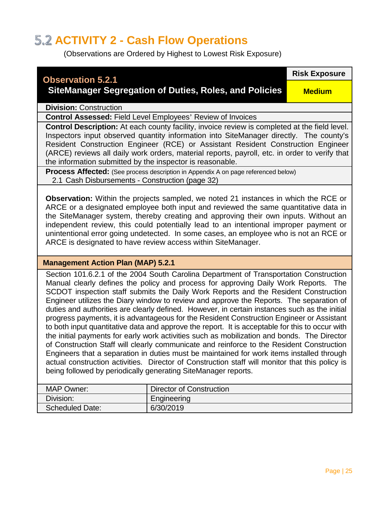#### **5.2 ACTIVITY 2 - Cash Flow Operations**

(Observations are Ordered by Highest to Lowest Risk Exposure)

#### **Observation 5.2.1 SiteManager Segregation of Duties, Roles, and Policies Risk Exposure Medium Division:** Construction **Control Assessed:** Field Level Employees' Review of Invoices **Control Description:** At each county facility, invoice review is completed at the field level. Inspectors input observed quantity information into SiteManager directly. The county's Resident Construction Engineer (RCE) or Assistant Resident Construction Engineer (ARCE) reviews all daily work orders, material reports, payroll, etc. in order to verify that the information submitted by the inspector is reasonable. **Process Affected:** (See process description in Appendix A on page referenced below) 2.1 Cash Disbursements - Construction (page 32) **Observation:** Within the projects sampled, we noted 21 instances in which the RCE or ARCE or a designated employee both input and reviewed the same quantitative data in the SiteManager system, thereby creating and approving their own inputs. Without an independent review, this could potentially lead to an intentional improper payment or unintentional error going undetected. In some cases, an employee who is not an RCE or ARCE is designated to have review access within SiteManager. **Management Action Plan (MAP) 5.2.1** Section 101.6.2.1 of the 2004 South Carolina Department of Transportation Construction Manual clearly defines the policy and process for approving Daily Work Reports. The SCDOT inspection staff submits the Daily Work Reports and the Resident Construction Engineer utilizes the Diary window to review and approve the Reports. The separation of duties and authorities are clearly defined. However, in certain instances such as the initial progress payments, it is advantageous for the Resident Construction Engineer or Assistant

to both input quantitative data and approve the report. It is acceptable for this to occur with the initial payments for early work activities such as mobilization and bonds. The Director of Construction Staff will clearly communicate and reinforce to the Resident Construction Engineers that a separation in duties must be maintained for work items installed through actual construction activities. Director of Construction staff will monitor that this policy is being followed by periodically generating SiteManager reports.

| Director of Construction<br><b>MAP Owner:</b> |             |  |  |
|-----------------------------------------------|-------------|--|--|
| Division:                                     | Engineering |  |  |
| <b>Scheduled Date:</b>                        | 6/30/2019   |  |  |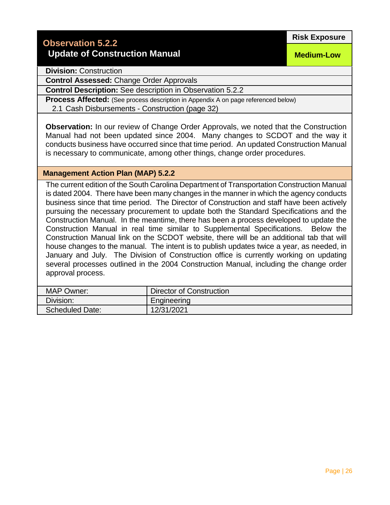**Medium-Low**

**Division:** Construction

**Control Assessed:** Change Order Approvals

**Control Description:** See description in Observation 5.2.2

**Process Affected:** (See process description in Appendix A on page referenced below) 2.1 Cash Disbursements - Construction (page 32)

**Observation:** In our review of Change Order Approvals, we noted that the Construction Manual had not been updated since 2004. Many changes to SCDOT and the way it conducts business have occurred since that time period. An updated Construction Manual is necessary to communicate, among other things, change order procedures.

#### **Management Action Plan (MAP) 5.2.2**

The current edition of the South Carolina Department of Transportation Construction Manual is dated 2004. There have been many changes in the manner in which the agency conducts business since that time period. The Director of Construction and staff have been actively pursuing the necessary procurement to update both the Standard Specifications and the Construction Manual. In the meantime, there has been a process developed to update the Construction Manual in real time similar to Supplemental Specifications. Below the Construction Manual link on the SCDOT website, there will be an additional tab that will house changes to the manual. The intent is to publish updates twice a year, as needed, in January and July. The Division of Construction office is currently working on updating several processes outlined in the 2004 Construction Manual, including the change order approval process.

| <b>MAP Owner:</b>      | <b>Director of Construction</b> |  |  |
|------------------------|---------------------------------|--|--|
| Division:              | Engineering                     |  |  |
| <b>Scheduled Date:</b> | 12/31/2021                      |  |  |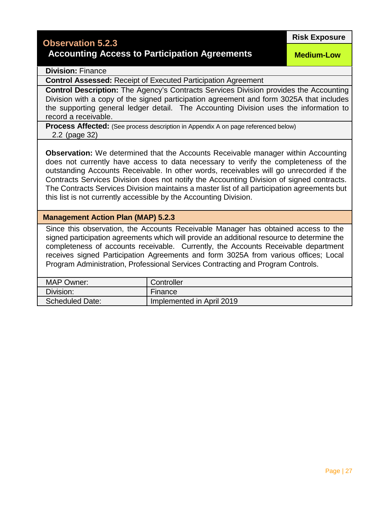#### **Observation 5.2.3**

#### **Accounting Access to Participation Agreements**

**Risk Exposure**

**Medium-Low**

#### **Division:** Finance

**Control Assessed:** Receipt of Executed Participation Agreement

**Control Description:** The Agency's Contracts Services Division provides the Accounting Division with a copy of the signed participation agreement and form 3025A that includes the supporting general ledger detail. The Accounting Division uses the information to record a receivable.

**Process Affected:** (See process description in Appendix A on page referenced below) 2.2 (page 32)

**Observation:** We determined that the Accounts Receivable manager within Accounting does not currently have access to data necessary to verify the completeness of the outstanding Accounts Receivable. In other words, receivables will go unrecorded if the Contracts Services Division does not notify the Accounting Division of signed contracts. The Contracts Services Division maintains a master list of all participation agreements but this list is not currently accessible by the Accounting Division.

#### **Management Action Plan (MAP) 5.2.3**

Since this observation, the Accounts Receivable Manager has obtained access to the signed participation agreements which will provide an additional resource to determine the completeness of accounts receivable. Currently, the Accounts Receivable department receives signed Participation Agreements and form 3025A from various offices; Local Program Administration, Professional Services Contracting and Program Controls.

| <b>MAP Owner:</b>      | Controller                |
|------------------------|---------------------------|
| Division:              | Finance                   |
| <b>Scheduled Date:</b> | Implemented in April 2019 |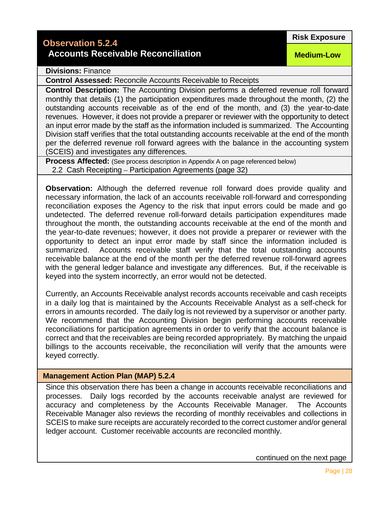#### **Observation 5.2.4**

#### **Accounts Receivable Reconciliation**

**Medium-Low**

**Divisions:** Finance

**Control Assessed:** Reconcile Accounts Receivable to Receipts

**Control Description:** The Accounting Division performs a deferred revenue roll forward monthly that details (1) the participation expenditures made throughout the month, (2) the outstanding accounts receivable as of the end of the month, and (3) the year-to-date revenues. However, it does not provide a preparer or reviewer with the opportunity to detect an input error made by the staff as the information included is summarized. The Accounting Division staff verifies that the total outstanding accounts receivable at the end of the month per the deferred revenue roll forward agrees with the balance in the accounting system (SCEIS) and investigates any differences.

**Process Affected:** (See process description in Appendix A on page referenced below) 2.2 Cash Receipting – Participation Agreements (page 32)

**Observation:** Although the deferred revenue roll forward does provide quality and necessary information, the lack of an accounts receivable roll-forward and corresponding reconciliation exposes the Agency to the risk that input errors could be made and go undetected. The deferred revenue roll-forward details participation expenditures made throughout the month, the outstanding accounts receivable at the end of the month and the year-to-date revenues; however, it does not provide a preparer or reviewer with the opportunity to detect an input error made by staff since the information included is summarized. Accounts receivable staff verify that the total outstanding accounts receivable balance at the end of the month per the deferred revenue roll-forward agrees with the general ledger balance and investigate any differences. But, if the receivable is keyed into the system incorrectly, an error would not be detected.

Currently, an Accounts Receivable analyst records accounts receivable and cash receipts in a daily log that is maintained by the Accounts Receivable Analyst as a self-check for errors in amounts recorded. The daily log is not reviewed by a supervisor or another party. We recommend that the Accounting Division begin performing accounts receivable reconciliations for participation agreements in order to verify that the account balance is correct and that the receivables are being recorded appropriately. By matching the unpaid billings to the accounts receivable, the reconciliation will verify that the amounts were keyed correctly.

#### **Management Action Plan (MAP) 5.2.4**

Since this observation there has been a change in accounts receivable reconciliations and processes. Daily logs recorded by the accounts receivable analyst are reviewed for accuracy and completeness by the Accounts Receivable Manager. The Accounts Receivable Manager also reviews the recording of monthly receivables and collections in SCEIS to make sure receipts are accurately recorded to the correct customer and/or general ledger account. Customer receivable accounts are reconciled monthly.

continued on the next page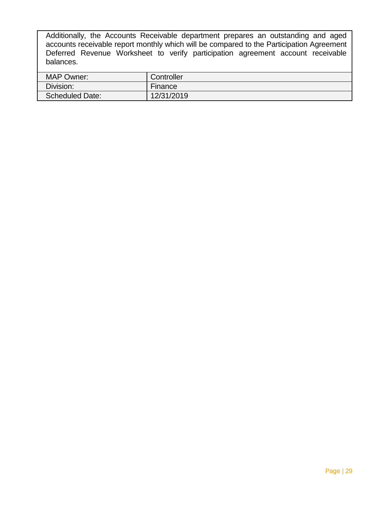Additionally, the Accounts Receivable department prepares an outstanding and aged accounts receivable report monthly which will be compared to the Participation Agreement Deferred Revenue Worksheet to verify participation agreement account receivable balances.

| <b>MAP Owner:</b>      | Controller |
|------------------------|------------|
| Division:              | Finance    |
| <b>Scheduled Date:</b> | 12/31/2019 |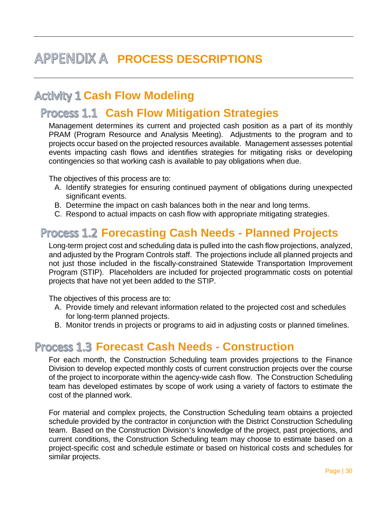### **APPENDIX A PROCESS DESCRIPTIONS**

#### **Activity 1 Cash Flow Modeling**

#### **Cash Flow Mitigation Strategies**

Management determines its current and projected cash position as a part of its monthly PRAM (Program Resource and Analysis Meeting). Adjustments to the program and to projects occur based on the projected resources available. Management assesses potential events impacting cash flows and identifies strategies for mitigating risks or developing contingencies so that working cash is available to pay obligations when due.

The objectives of this process are to:

- A. Identify strategies for ensuring continued payment of obligations during unexpected significant events.
- B. Determine the impact on cash balances both in the near and long terms.
- C. Respond to actual impacts on cash flow with appropriate mitigating strategies.

#### **Forecasting Cash Needs - Planned Projects**

Long-term project cost and scheduling data is pulled into the cash flow projections, analyzed, and adjusted by the Program Controls staff. The projections include all planned projects and not just those included in the fiscally-constrained Statewide Transportation Improvement Program (STIP). Placeholders are included for projected programmatic costs on potential projects that have not yet been added to the STIP.

The objectives of this process are to:

- A. Provide timely and relevant information related to the projected cost and schedules for long-term planned projects.
- B. Monitor trends in projects or programs to aid in adjusting costs or planned timelines.

#### **Forecast Cash Needs - Construction**

For each month, the Construction Scheduling team provides projections to the Finance Division to develop expected monthly costs of current construction projects over the course of the project to incorporate within the agency-wide cash flow. The Construction Scheduling team has developed estimates by scope of work using a variety of factors to estimate the cost of the planned work.

For material and complex projects, the Construction Scheduling team obtains a projected schedule provided by the contractor in conjunction with the District Construction Scheduling team. Based on the Construction Division's knowledge of the project, past projections, and current conditions, the Construction Scheduling team may choose to estimate based on a project-specific cost and schedule estimate or based on historical costs and schedules for similar projects.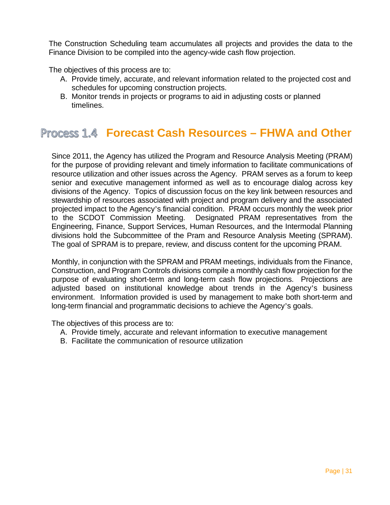The Construction Scheduling team accumulates all projects and provides the data to the Finance Division to be compiled into the agency-wide cash flow projection.

The objectives of this process are to:

- A. Provide timely, accurate, and relevant information related to the projected cost and schedules for upcoming construction projects.
- B. Monitor trends in projects or programs to aid in adjusting costs or planned timelines.

#### **Process 1.4 Forecast Cash Resources – FHWA and Other**

Since 2011, the Agency has utilized the Program and Resource Analysis Meeting (PRAM) for the purpose of providing relevant and timely information to facilitate communications of resource utilization and other issues across the Agency. PRAM serves as a forum to keep senior and executive management informed as well as to encourage dialog across key divisions of the Agency. Topics of discussion focus on the key link between resources and stewardship of resources associated with project and program delivery and the associated projected impact to the Agency's financial condition. PRAM occurs monthly the week prior to the SCDOT Commission Meeting. Designated PRAM representatives from the Engineering, Finance, Support Services, Human Resources, and the Intermodal Planning divisions hold the Subcommittee of the Pram and Resource Analysis Meeting (SPRAM). The goal of SPRAM is to prepare, review, and discuss content for the upcoming PRAM.

Monthly, in conjunction with the SPRAM and PRAM meetings, individuals from the Finance, Construction, and Program Controls divisions compile a monthly cash flow projection for the purpose of evaluating short-term and long-term cash flow projections. Projections are adjusted based on institutional knowledge about trends in the Agency's business environment. Information provided is used by management to make both short-term and long-term financial and programmatic decisions to achieve the Agency's goals.

The objectives of this process are to:

- A. Provide timely, accurate and relevant information to executive management
- B. Facilitate the communication of resource utilization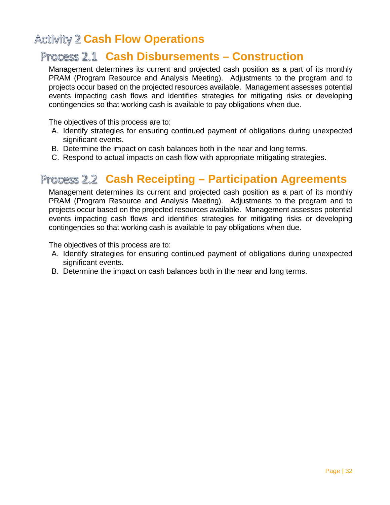#### **Activity 2 Cash Flow Operations**

#### **Process 2.1 Cash Disbursements – Construction**

Management determines its current and projected cash position as a part of its monthly PRAM (Program Resource and Analysis Meeting). Adjustments to the program and to projects occur based on the projected resources available. Management assesses potential events impacting cash flows and identifies strategies for mitigating risks or developing contingencies so that working cash is available to pay obligations when due.

The objectives of this process are to:

- A. Identify strategies for ensuring continued payment of obligations during unexpected significant events.
- B. Determine the impact on cash balances both in the near and long terms.
- C. Respond to actual impacts on cash flow with appropriate mitigating strategies.

#### **Process 2.2 Cash Receipting - Participation Agreements**

Management determines its current and projected cash position as a part of its monthly PRAM (Program Resource and Analysis Meeting). Adjustments to the program and to projects occur based on the projected resources available. Management assesses potential events impacting cash flows and identifies strategies for mitigating risks or developing contingencies so that working cash is available to pay obligations when due.

The objectives of this process are to:

- A. Identify strategies for ensuring continued payment of obligations during unexpected significant events.
- B. Determine the impact on cash balances both in the near and long terms.